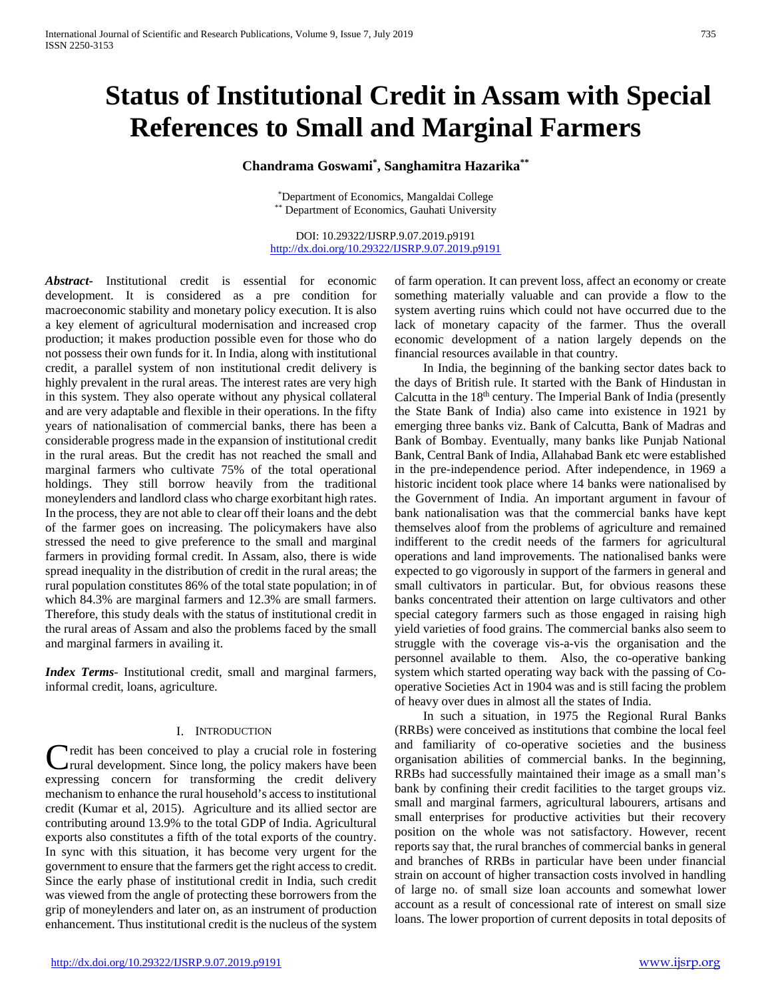# **Status of Institutional Credit in Assam with Special References to Small and Marginal Farmers**

# **Chandrama Goswami\* , Sanghamitra Hazarika\*\***

\*Department of Economics, Mangaldai College \*\* Department of Economics, Gauhati University

DOI: 10.29322/IJSRP.9.07.2019.p9191 <http://dx.doi.org/10.29322/IJSRP.9.07.2019.p9191>

*Abstract***-** Institutional credit is essential for economic development. It is considered as a pre condition for macroeconomic stability and monetary policy execution. It is also a key element of agricultural modernisation and increased crop production; it makes production possible even for those who do not possess their own funds for it. In India, along with institutional credit, a parallel system of non institutional credit delivery is highly prevalent in the rural areas. The interest rates are very high in this system. They also operate without any physical collateral and are very adaptable and flexible in their operations. In the fifty years of nationalisation of commercial banks, there has been a considerable progress made in the expansion of institutional credit in the rural areas. But the credit has not reached the small and marginal farmers who cultivate 75% of the total operational holdings. They still borrow heavily from the traditional moneylenders and landlord class who charge exorbitant high rates. In the process, they are not able to clear off their loans and the debt of the farmer goes on increasing. The policymakers have also stressed the need to give preference to the small and marginal farmers in providing formal credit. In Assam, also, there is wide spread inequality in the distribution of credit in the rural areas; the rural population constitutes 86% of the total state population; in of which 84.3% are marginal farmers and 12.3% are small farmers. Therefore, this study deals with the status of institutional credit in the rural areas of Assam and also the problems faced by the small and marginal farmers in availing it.

*Index Terms*- Institutional credit, small and marginal farmers, informal credit, loans, agriculture.

## I. INTRODUCTION

**Tredit has been conceived to play a crucial role in fostering** rural development. Since long, the policy makers have been Credit has been conceived to play a crucial role in fostering<br>
rural development. Since long, the policy makers have been<br>
expressing concern for transforming the credit delivery mechanism to enhance the rural household's access to institutional credit (Kumar et al, 2015). Agriculture and its allied sector are contributing around 13.9% to the total GDP of India. Agricultural exports also constitutes a fifth of the total exports of the country. In sync with this situation, it has become very urgent for the government to ensure that the farmers get the right access to credit. Since the early phase of institutional credit in India, such credit was viewed from the angle of protecting these borrowers from the grip of moneylenders and later on, as an instrument of production enhancement. Thus institutional credit is the nucleus of the system

of farm operation. It can prevent loss, affect an economy or create something materially valuable and can provide a flow to the system averting ruins which could not have occurred due to the lack of monetary capacity of the farmer. Thus the overall economic development of a nation largely depends on the financial resources available in that country.

 In India, the beginning of the banking sector dates back to the days of British rule. It started with the Bank of Hindustan in Calcutta in the  $18<sup>th</sup>$  century. The Imperial Bank of India (presently the State Bank of India) also came into existence in 1921 by emerging three banks viz. Bank of Calcutta, Bank of Madras and Bank of Bombay. Eventually, many banks like Punjab National Bank, Central Bank of India, Allahabad Bank etc were established in the pre-independence period. After independence, in 1969 a historic incident took place where 14 banks were nationalised by the Government of India. An important argument in favour of bank nationalisation was that the commercial banks have kept themselves aloof from the problems of agriculture and remained indifferent to the credit needs of the farmers for agricultural operations and land improvements. The nationalised banks were expected to go vigorously in support of the farmers in general and small cultivators in particular. But, for obvious reasons these banks concentrated their attention on large cultivators and other special category farmers such as those engaged in raising high yield varieties of food grains. The commercial banks also seem to struggle with the coverage vis-a-vis the organisation and the personnel available to them. Also, the co-operative banking system which started operating way back with the passing of Cooperative Societies Act in 1904 was and is still facing the problem of heavy over dues in almost all the states of India.

 In such a situation, in 1975 the Regional Rural Banks (RRBs) were conceived as institutions that combine the local feel and familiarity of co-operative societies and the business organisation abilities of commercial banks. In the beginning, RRBs had successfully maintained their image as a small man's bank by confining their credit facilities to the target groups viz. small and marginal farmers, agricultural labourers, artisans and small enterprises for productive activities but their recovery position on the whole was not satisfactory. However, recent reports say that, the rural branches of commercial banks in general and branches of RRBs in particular have been under financial strain on account of higher transaction costs involved in handling of large no. of small size loan accounts and somewhat lower account as a result of concessional rate of interest on small size loans. The lower proportion of current deposits in total deposits of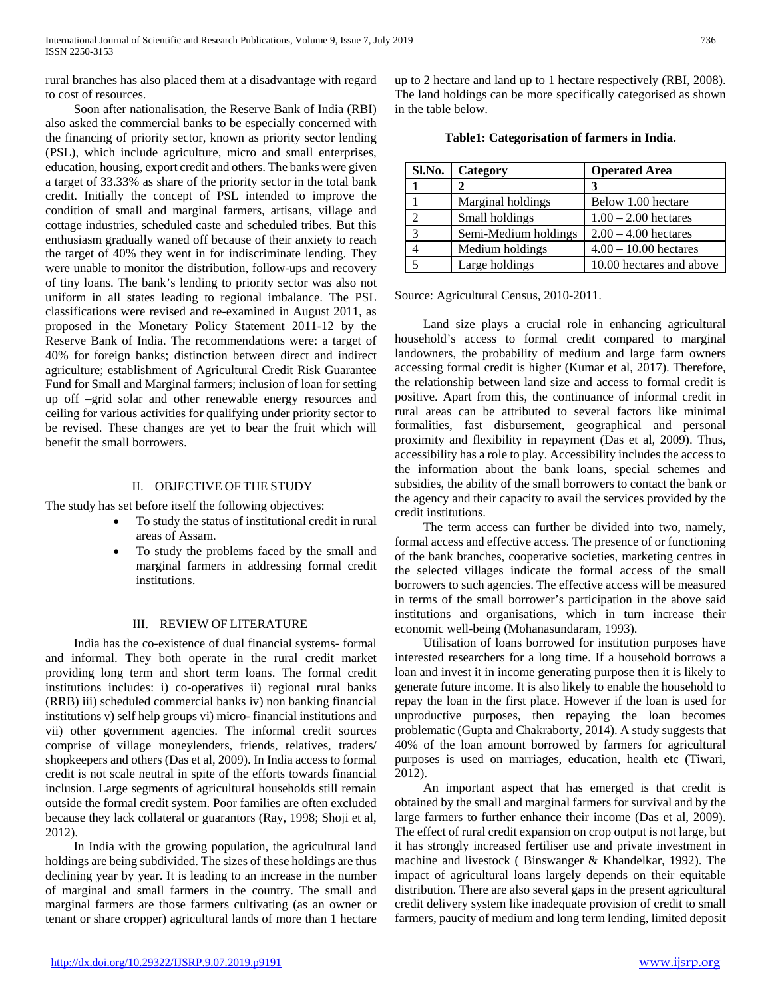rural branches has also placed them at a disadvantage with regard to cost of resources.

 Soon after nationalisation, the Reserve Bank of India (RBI) also asked the commercial banks to be especially concerned with the financing of priority sector, known as priority sector lending (PSL), which include agriculture, micro and small enterprises, education, housing, export credit and others. The banks were given a target of 33.33% as share of the priority sector in the total bank credit. Initially the concept of PSL intended to improve the condition of small and marginal farmers, artisans, village and cottage industries, scheduled caste and scheduled tribes. But this enthusiasm gradually waned off because of their anxiety to reach the target of 40% they went in for indiscriminate lending. They were unable to monitor the distribution, follow-ups and recovery of tiny loans. The bank's lending to priority sector was also not uniform in all states leading to regional imbalance. The PSL classifications were revised and re-examined in August 2011, as proposed in the Monetary Policy Statement 2011-12 by the Reserve Bank of India. The recommendations were: a target of 40% for foreign banks; distinction between direct and indirect agriculture; establishment of Agricultural Credit Risk Guarantee Fund for Small and Marginal farmers; inclusion of loan for setting up off –grid solar and other renewable energy resources and ceiling for various activities for qualifying under priority sector to be revised. These changes are yet to bear the fruit which will benefit the small borrowers.

## II. OBJECTIVE OF THE STUDY

The study has set before itself the following objectives:

- To study the status of institutional credit in rural areas of Assam.
- To study the problems faced by the small and marginal farmers in addressing formal credit institutions.

## III. REVIEW OF LITERATURE

 India has the co-existence of dual financial systems- formal and informal. They both operate in the rural credit market providing long term and short term loans. The formal credit institutions includes: i) co-operatives ii) regional rural banks (RRB) iii) scheduled commercial banks iv) non banking financial institutions v) self help groups vi) micro- financial institutions and vii) other government agencies. The informal credit sources comprise of village moneylenders, friends, relatives, traders/ shopkeepers and others (Das et al, 2009). In India access to formal credit is not scale neutral in spite of the efforts towards financial inclusion. Large segments of agricultural households still remain outside the formal credit system. Poor families are often excluded because they lack collateral or guarantors (Ray, 1998; Shoji et al, 2012).

 In India with the growing population, the agricultural land holdings are being subdivided. The sizes of these holdings are thus declining year by year. It is leading to an increase in the number of marginal and small farmers in the country. The small and marginal farmers are those farmers cultivating (as an owner or tenant or share cropper) agricultural lands of more than 1 hectare

up to 2 hectare and land up to 1 hectare respectively (RBI, 2008). The land holdings can be more specifically categorised as shown in the table below.

| Sl.No. | Category             | <b>Operated Area</b>     |
|--------|----------------------|--------------------------|
|        |                      | 3                        |
|        | Marginal holdings    | Below 1.00 hectare       |
|        | Small holdings       | $1.00 - 2.00$ hectares   |
|        | Semi-Medium holdings | $2.00 - 4.00$ hectares   |
|        | Medium holdings      | $4.00 - 10.00$ hectares  |
|        | Large holdings       | 10.00 hectares and above |

**Table1: Categorisation of farmers in India.**

Source: Agricultural Census, 2010-2011.

 Land size plays a crucial role in enhancing agricultural household's access to formal credit compared to marginal landowners, the probability of medium and large farm owners accessing formal credit is higher (Kumar et al, 2017). Therefore, the relationship between land size and access to formal credit is positive. Apart from this, the continuance of informal credit in rural areas can be attributed to several factors like minimal formalities, fast disbursement, geographical and personal proximity and flexibility in repayment (Das et al, 2009). Thus, accessibility has a role to play. Accessibility includes the access to the information about the bank loans, special schemes and subsidies, the ability of the small borrowers to contact the bank or the agency and their capacity to avail the services provided by the credit institutions.

 The term access can further be divided into two, namely, formal access and effective access. The presence of or functioning of the bank branches, cooperative societies, marketing centres in the selected villages indicate the formal access of the small borrowers to such agencies. The effective access will be measured in terms of the small borrower's participation in the above said institutions and organisations, which in turn increase their economic well-being (Mohanasundaram, 1993).

 Utilisation of loans borrowed for institution purposes have interested researchers for a long time. If a household borrows a loan and invest it in income generating purpose then it is likely to generate future income. It is also likely to enable the household to repay the loan in the first place. However if the loan is used for unproductive purposes, then repaying the loan becomes problematic (Gupta and Chakraborty, 2014). A study suggests that 40% of the loan amount borrowed by farmers for agricultural purposes is used on marriages, education, health etc (Tiwari, 2012).

 An important aspect that has emerged is that credit is obtained by the small and marginal farmers for survival and by the large farmers to further enhance their income (Das et al, 2009). The effect of rural credit expansion on crop output is not large, but it has strongly increased fertiliser use and private investment in machine and livestock ( Binswanger & Khandelkar, 1992). The impact of agricultural loans largely depends on their equitable distribution. There are also several gaps in the present agricultural credit delivery system like inadequate provision of credit to small farmers, paucity of medium and long term lending, limited deposit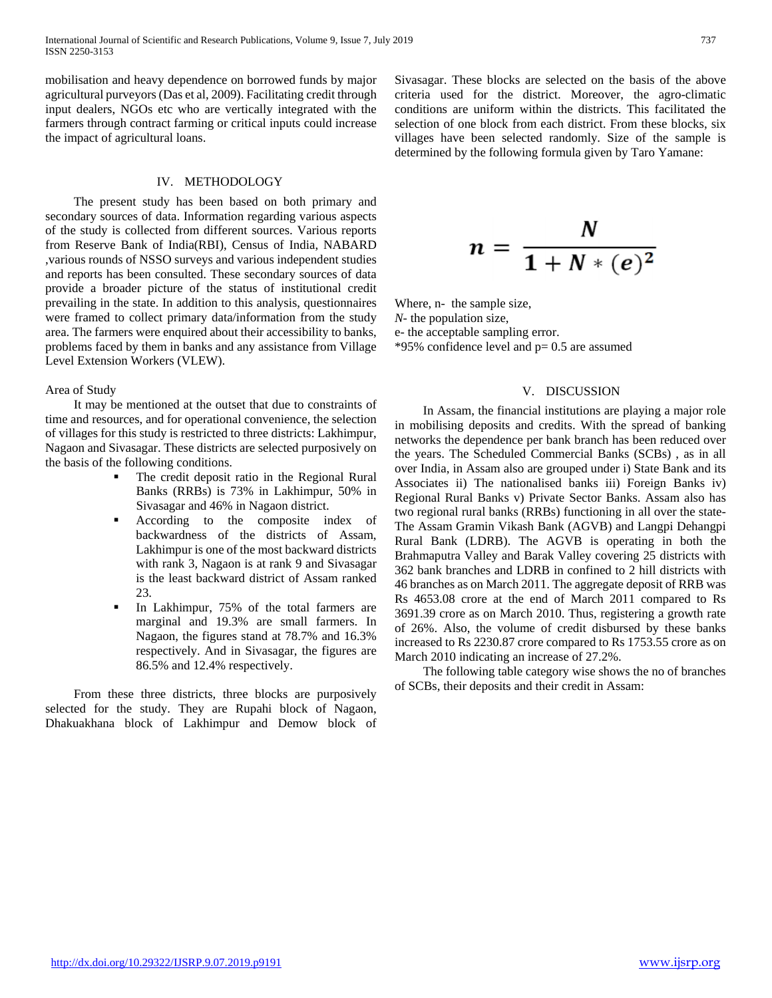mobilisation and heavy dependence on borrowed funds by major agricultural purveyors (Das et al, 2009). Facilitating credit through input dealers, NGOs etc who are vertically integrated with the farmers through contract farming or critical inputs could increase the impact of agricultural loans.

## IV. METHODOLOGY

 The present study has been based on both primary and secondary sources of data. Information regarding various aspects of the study is collected from different sources. Various reports from Reserve Bank of India(RBI), Census of India, NABARD ,various rounds of NSSO surveys and various independent studies and reports has been consulted. These secondary sources of data provide a broader picture of the status of institutional credit prevailing in the state. In addition to this analysis, questionnaires were framed to collect primary data/information from the study area. The farmers were enquired about their accessibility to banks, problems faced by them in banks and any assistance from Village Level Extension Workers (VLEW).

## Area of Study

 It may be mentioned at the outset that due to constraints of time and resources, and for operational convenience, the selection of villages for this study is restricted to three districts: Lakhimpur, Nagaon and Sivasagar. These districts are selected purposively on the basis of the following conditions.

- The credit deposit ratio in the Regional Rural Banks (RRBs) is 73% in Lakhimpur, 50% in Sivasagar and 46% in Nagaon district.
- **According** to the composite index of backwardness of the districts of Assam, Lakhimpur is one of the most backward districts with rank 3, Nagaon is at rank 9 and Sivasagar is the least backward district of Assam ranked 23.
- In Lakhimpur, 75% of the total farmers are marginal and 19.3% are small farmers. In Nagaon, the figures stand at 78.7% and 16.3% respectively. And in Sivasagar, the figures are 86.5% and 12.4% respectively.

 From these three districts, three blocks are purposively selected for the study. They are Rupahi block of Nagaon, Dhakuakhana block of Lakhimpur and Demow block of Sivasagar. These blocks are selected on the basis of the above criteria used for the district. Moreover, the agro-climatic conditions are uniform within the districts. This facilitated the selection of one block from each district. From these blocks, six villages have been selected randomly. Size of the sample is determined by the following formula given by Taro Yamane:

$$
n=\frac{N}{1+N*(e)^2}
$$

Where, n- the sample size, *N*- the population size, e- the acceptable sampling error. \*95% confidence level and p= 0.5 are assumed

## V. DISCUSSION

 In Assam, the financial institutions are playing a major role in mobilising deposits and credits. With the spread of banking networks the dependence per bank branch has been reduced over the years. The Scheduled Commercial Banks (SCBs) , as in all over India, in Assam also are grouped under i) State Bank and its Associates ii) The nationalised banks iii) Foreign Banks iv) Regional Rural Banks v) Private Sector Banks. Assam also has two regional rural banks (RRBs) functioning in all over the state-The Assam Gramin Vikash Bank (AGVB) and Langpi Dehangpi Rural Bank (LDRB). The AGVB is operating in both the Brahmaputra Valley and Barak Valley covering 25 districts with 362 bank branches and LDRB in confined to 2 hill districts with 46 branches as on March 2011. The aggregate deposit of RRB was Rs 4653.08 crore at the end of March 2011 compared to Rs 3691.39 crore as on March 2010. Thus, registering a growth rate of 26%. Also, the volume of credit disbursed by these banks increased to Rs 2230.87 crore compared to Rs 1753.55 crore as on March 2010 indicating an increase of 27.2%.

 The following table category wise shows the no of branches of SCBs, their deposits and their credit in Assam: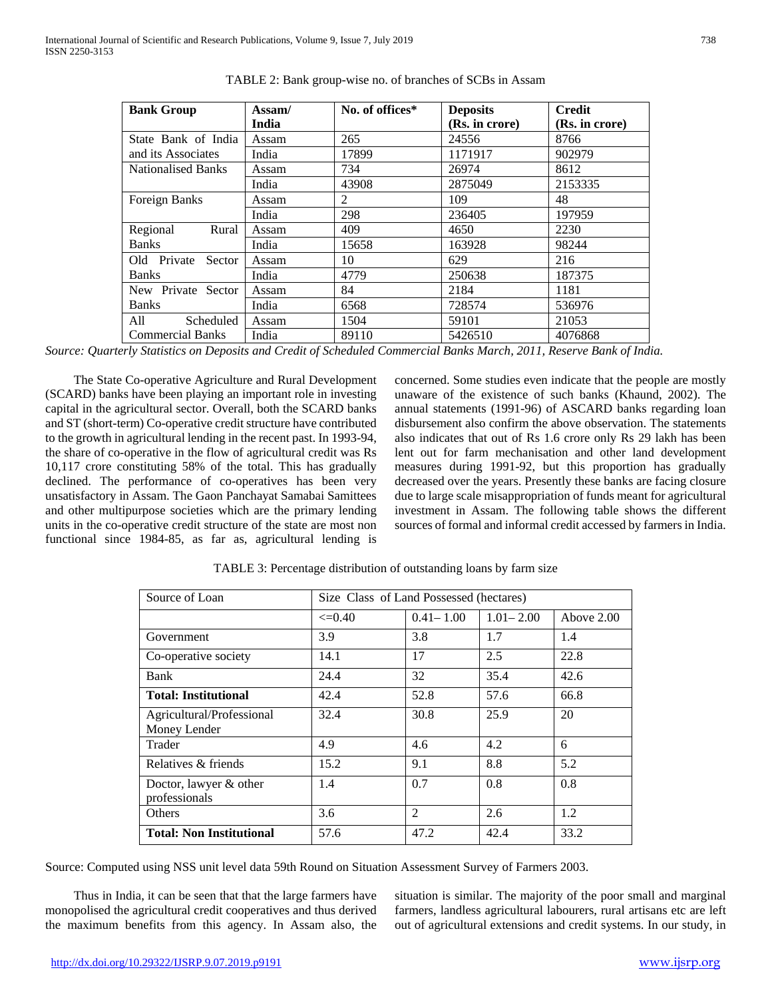| <b>Bank Group</b>         | Assam/ | No. of offices* | <b>Deposits</b> | <b>Credit</b>  |
|---------------------------|--------|-----------------|-----------------|----------------|
|                           | India  |                 | (Rs. in crore)  | (Rs. in crore) |
| State Bank of India       | Assam  | 265             | 24556           | 8766           |
| and its Associates        | India  | 17899           | 1171917         | 902979         |
| <b>Nationalised Banks</b> | Assam  | 734             | 26974           | 8612           |
|                           | India  | 43908           | 2875049         | 2153335        |
| Foreign Banks             | Assam  | 2               | 109             | 48             |
|                           | India  | 298             | 236405          | 197959         |
| Regional<br>Rural         | Assam  | 409             | 4650            | 2230           |
| <b>Banks</b>              | India  | 15658           | 163928          | 98244          |
| Old Private<br>Sector     | Assam  | 10              | 629             | 216            |
| <b>Banks</b>              | India  | 4779            | 250638          | 187375         |
| New Private Sector        | Assam  | 84              | 2184            | 1181           |
| <b>Banks</b>              | India  | 6568            | 728574          | 536976         |
| All<br>Scheduled          | Assam  | 1504            | 59101           | 21053          |
| <b>Commercial Banks</b>   | India  | 89110           | 5426510         | 4076868        |

TABLE 2: Bank group-wise no. of branches of SCBs in Assam

*Source: Quarterly Statistics on Deposits and Credit of Scheduled Commercial Banks March, 2011, Reserve Bank of India.*

 The State Co-operative Agriculture and Rural Development (SCARD) banks have been playing an important role in investing capital in the agricultural sector. Overall, both the SCARD banks and ST (short-term) Co-operative credit structure have contributed to the growth in agricultural lending in the recent past. In 1993-94, the share of co-operative in the flow of agricultural credit was Rs 10,117 crore constituting 58% of the total. This has gradually declined. The performance of co-operatives has been very unsatisfactory in Assam. The Gaon Panchayat Samabai Samittees and other multipurpose societies which are the primary lending units in the co-operative credit structure of the state are most non functional since 1984-85, as far as, agricultural lending is

concerned. Some studies even indicate that the people are mostly unaware of the existence of such banks (Khaund, 2002). The annual statements (1991-96) of ASCARD banks regarding loan disbursement also confirm the above observation. The statements also indicates that out of Rs 1.6 crore only Rs 29 lakh has been lent out for farm mechanisation and other land development measures during 1991-92, but this proportion has gradually decreased over the years. Presently these banks are facing closure due to large scale misappropriation of funds meant for agricultural investment in Assam. The following table shows the different sources of formal and informal credit accessed by farmers in India.

| Source of Loan                            | Size Class of Land Possessed (hectares) |                |               |            |  |
|-------------------------------------------|-----------------------------------------|----------------|---------------|------------|--|
|                                           | $\leq 0.40$                             | $0.41 - 1.00$  | $1.01 - 2.00$ | Above 2.00 |  |
| Government                                | 3.9                                     | 3.8            | 1.7           | 1.4        |  |
| Co-operative society                      | 14.1                                    | 17             | 2.5           | 22.8       |  |
| Bank                                      | 24.4                                    | 32             | 35.4          | 42.6       |  |
| <b>Total: Institutional</b>               | 42.4                                    | 52.8           | 57.6          | 66.8       |  |
| Agricultural/Professional<br>Money Lender | 32.4                                    | 30.8           | 25.9          | 20         |  |
| Trader                                    | 4.9                                     | 4.6            | 4.2           | 6          |  |
| Relatives & friends                       | 15.2                                    | 9.1            | 8.8           | 5.2        |  |
| Doctor, lawyer & other<br>professionals   | 1.4                                     | 0.7            | 0.8           | 0.8        |  |
| Others                                    | 3.6                                     | $\mathfrak{D}$ | 2.6           | 1.2        |  |
| <b>Total: Non Institutional</b>           | 57.6                                    | 47.2           | 42.4          | 33.2       |  |

TABLE 3: Percentage distribution of outstanding loans by farm size

Source: Computed using NSS unit level data 59th Round on Situation Assessment Survey of Farmers 2003.

 Thus in India, it can be seen that that the large farmers have monopolised the agricultural credit cooperatives and thus derived the maximum benefits from this agency. In Assam also, the

situation is similar. The majority of the poor small and marginal farmers, landless agricultural labourers, rural artisans etc are left out of agricultural extensions and credit systems. In our study, in